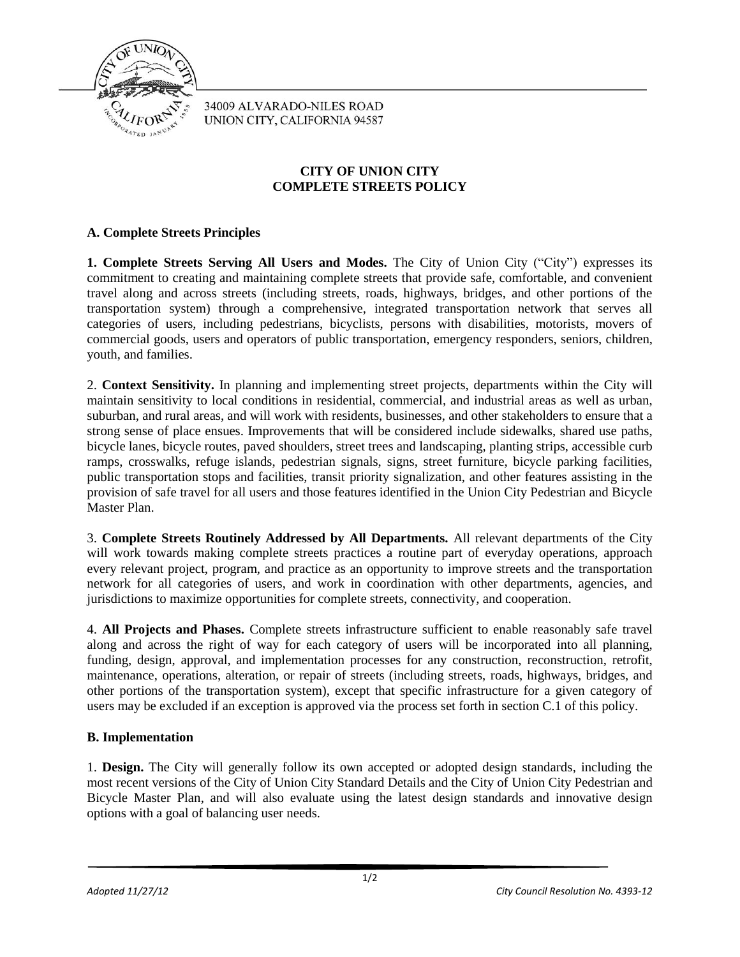

34009 ALVARADO-NILES ROAD UNION CITY, CALIFORNIA 94587

## **CITY OF UNION CITY COMPLETE STREETS POLICY**

## **A. Complete Streets Principles**

**1. Complete Streets Serving All Users and Modes.** The City of Union City ("City") expresses its commitment to creating and maintaining complete streets that provide safe, comfortable, and convenient travel along and across streets (including streets, roads, highways, bridges, and other portions of the transportation system) through a comprehensive, integrated transportation network that serves all categories of users, including pedestrians, bicyclists, persons with disabilities, motorists, movers of commercial goods, users and operators of public transportation, emergency responders, seniors, children, youth, and families.

2. **Context Sensitivity.** In planning and implementing street projects, departments within the City will maintain sensitivity to local conditions in residential, commercial, and industrial areas as well as urban, suburban, and rural areas, and will work with residents, businesses, and other stakeholders to ensure that a strong sense of place ensues. Improvements that will be considered include sidewalks, shared use paths, bicycle lanes, bicycle routes, paved shoulders, street trees and landscaping, planting strips, accessible curb ramps, crosswalks, refuge islands, pedestrian signals, signs, street furniture, bicycle parking facilities, public transportation stops and facilities, transit priority signalization, and other features assisting in the provision of safe travel for all users and those features identified in the Union City Pedestrian and Bicycle Master Plan.

3. **Complete Streets Routinely Addressed by All Departments.** All relevant departments of the City will work towards making complete streets practices a routine part of everyday operations, approach every relevant project, program, and practice as an opportunity to improve streets and the transportation network for all categories of users, and work in coordination with other departments, agencies, and jurisdictions to maximize opportunities for complete streets, connectivity, and cooperation.

4. **All Projects and Phases.** Complete streets infrastructure sufficient to enable reasonably safe travel along and across the right of way for each category of users will be incorporated into all planning, funding, design, approval, and implementation processes for any construction, reconstruction, retrofit, maintenance, operations, alteration, or repair of streets (including streets, roads, highways, bridges, and other portions of the transportation system), except that specific infrastructure for a given category of users may be excluded if an exception is approved via the process set forth in section C.1 of this policy.

## **B. Implementation**

1. **Design.** The City will generally follow its own accepted or adopted design standards, including the most recent versions of the City of Union City Standard Details and the City of Union City Pedestrian and Bicycle Master Plan, and will also evaluate using the latest design standards and innovative design options with a goal of balancing user needs.